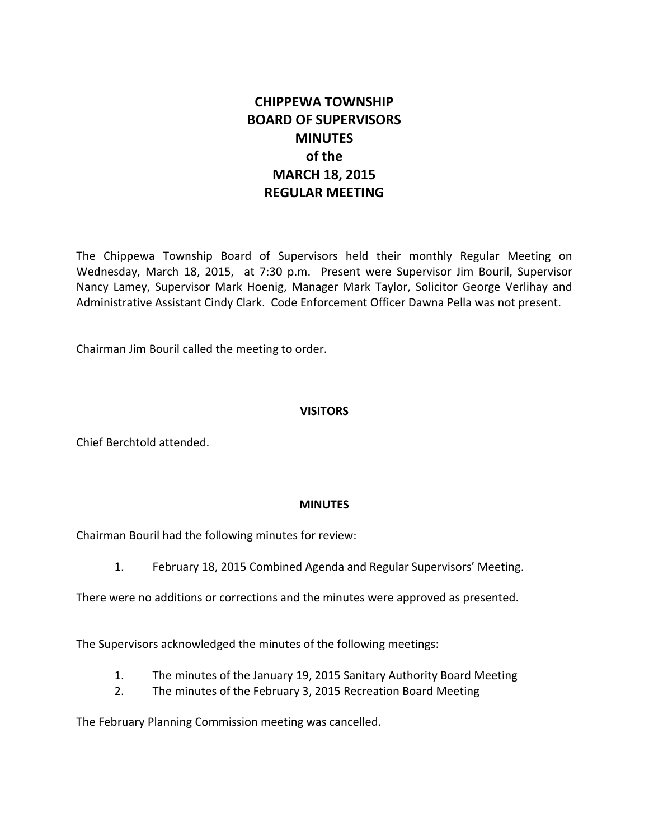# **CHIPPEWA TOWNSHIP BOARD OF SUPERVISORS MINUTES of the MARCH 18, 2015 REGULAR MEETING**

The Chippewa Township Board of Supervisors held their monthly Regular Meeting on Wednesday, March 18, 2015, at 7:30 p.m. Present were Supervisor Jim Bouril, Supervisor Nancy Lamey, Supervisor Mark Hoenig, Manager Mark Taylor, Solicitor George Verlihay and Administrative Assistant Cindy Clark. Code Enforcement Officer Dawna Pella was not present.

Chairman Jim Bouril called the meeting to order.

## **VISITORS**

Chief Berchtold attended.

#### **MINUTES**

Chairman Bouril had the following minutes for review:

1. February 18, 2015 Combined Agenda and Regular Supervisors' Meeting.

There were no additions or corrections and the minutes were approved as presented.

The Supervisors acknowledged the minutes of the following meetings:

- 1. The minutes of the January 19, 2015 Sanitary Authority Board Meeting
- 2. The minutes of the February 3, 2015 Recreation Board Meeting

The February Planning Commission meeting was cancelled.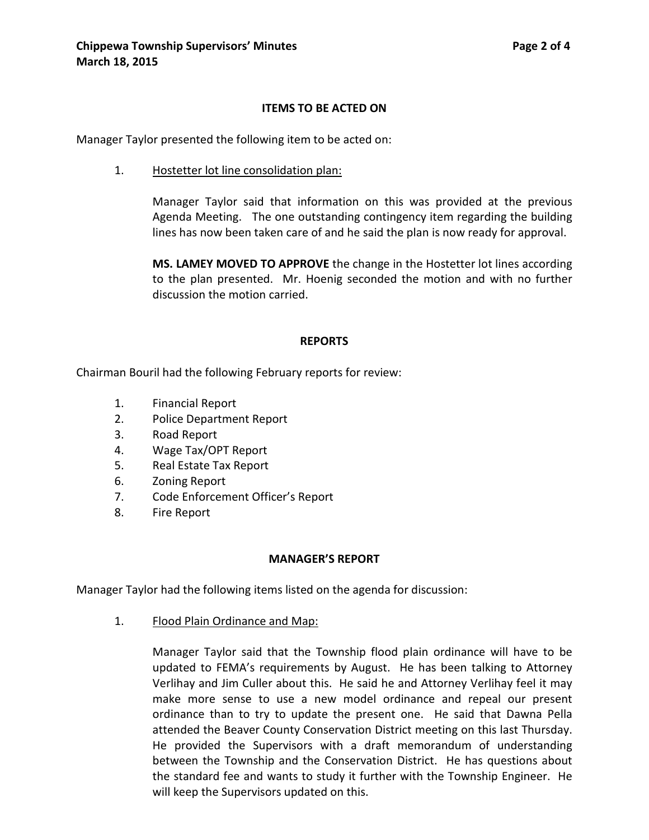#### **ITEMS TO BE ACTED ON**

Manager Taylor presented the following item to be acted on:

1. Hostetter lot line consolidation plan:

Manager Taylor said that information on this was provided at the previous Agenda Meeting. The one outstanding contingency item regarding the building lines has now been taken care of and he said the plan is now ready for approval.

**MS. LAMEY MOVED TO APPROVE** the change in the Hostetter lot lines according to the plan presented. Mr. Hoenig seconded the motion and with no further discussion the motion carried.

#### **REPORTS**

Chairman Bouril had the following February reports for review:

- 1. Financial Report
- 2. Police Department Report
- 3. Road Report
- 4. Wage Tax/OPT Report
- 5. Real Estate Tax Report
- 6. Zoning Report
- 7. Code Enforcement Officer's Report
- 8. Fire Report

## **MANAGER'S REPORT**

Manager Taylor had the following items listed on the agenda for discussion:

1. Flood Plain Ordinance and Map:

Manager Taylor said that the Township flood plain ordinance will have to be updated to FEMA's requirements by August. He has been talking to Attorney Verlihay and Jim Culler about this. He said he and Attorney Verlihay feel it may make more sense to use a new model ordinance and repeal our present ordinance than to try to update the present one. He said that Dawna Pella attended the Beaver County Conservation District meeting on this last Thursday. He provided the Supervisors with a draft memorandum of understanding between the Township and the Conservation District. He has questions about the standard fee and wants to study it further with the Township Engineer. He will keep the Supervisors updated on this.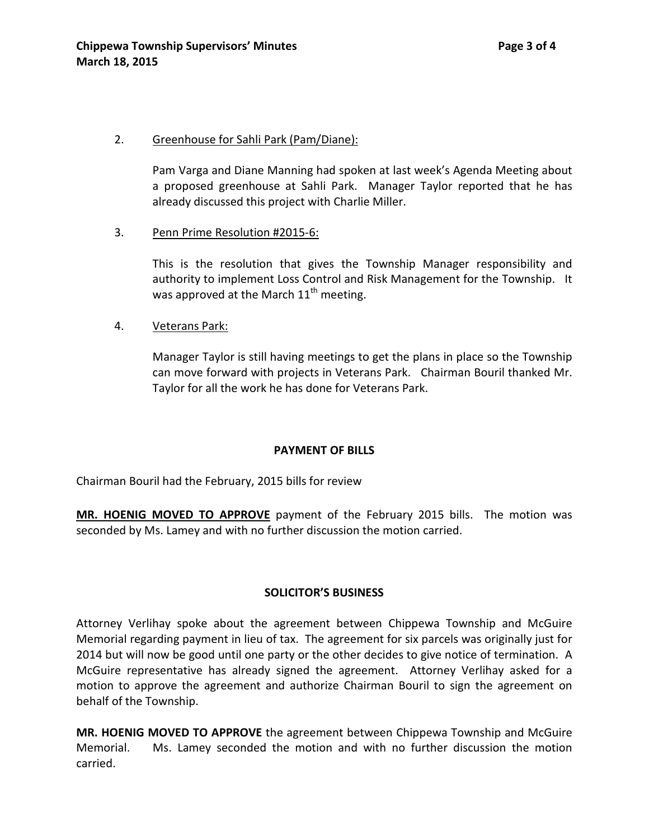## 2. Greenhouse for Sahli Park (Pam/Diane):

Pam Varga and Diane Manning had spoken at last week's Agenda Meeting about a proposed greenhouse at Sahli Park. Manager Taylor reported that he has already discussed this project with Charlie Miller.

3. Penn Prime Resolution #2015-6:

This is the resolution that gives the Township Manager responsibility and authority to implement Loss Control and Risk Management for the Township. It was approved at the March  $11<sup>th</sup>$  meeting.

4. Veterans Park:

Manager Taylor is still having meetings to get the plans in place so the Township can move forward with projects in Veterans Park.Chairman Bouril thanked Mr. Taylor for all the work he has done for Veterans Park.

## **PAYMENT OF BILLS**

Chairman Bouril had the February, 2015 bills for review

**MR. HOENIG MOVED TO APPROVE** payment of the February 2015 bills. The motion was seconded by Ms. Lamey and with no further discussion the motion carried.

## **SOLICITOR'S BUSINESS**

Attorney Verlihay spoke about the agreement between Chippewa Township and McGuire Memorial regarding payment in lieu of tax. The agreement for six parcels was originally just for 2014 but will now be good until one party or the other decides to give notice of termination. A McGuire representative has already signed the agreement. Attorney Verlihay asked for a motion to approve the agreement and authorize Chairman Bouril to sign the agreement on behalf of the Township.

**MR. HOENIG MOVED TO APPROVE** the agreement between Chippewa Township and McGuire Memorial. Ms. Lamey seconded the motion and with no further discussion the motion carried.